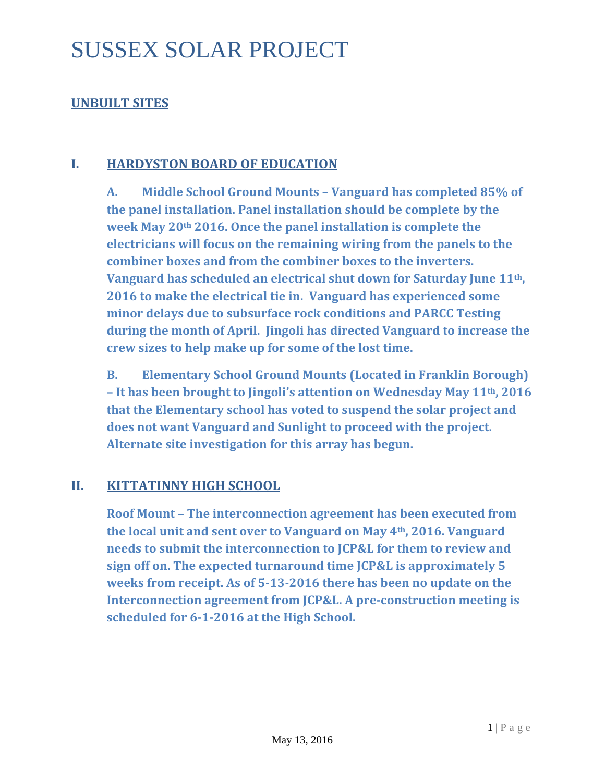#### **UNBUILT SITES**

#### **I. HARDYSTON BOARD OF EDUCATION**

**A. Middle School Ground Mounts – Vanguard has completed 85% of the panel installation. Panel installation should be complete by the week May 20th 2016. Once the panel installation is complete the electricians will focus on the remaining wiring from the panels to the combiner boxes and from the combiner boxes to the inverters. Vanguard has scheduled an electrical shut down for Saturday June 11th, 2016 to make the electrical tie in. Vanguard has experienced some minor delays due to subsurface rock conditions and PARCC Testing during the month of April. Jingoli has directed Vanguard to increase the crew sizes to help make up for some of the lost time.**

**B. Elementary School Ground Mounts (Located in Franklin Borough) – It has been brought to Jingoli's attention on Wednesday May 11th, 2016 that the Elementary school has voted to suspend the solar project and does not want Vanguard and Sunlight to proceed with the project. Alternate site investigation for this array has begun.** 

#### **II. KITTATINNY HIGH SCHOOL**

**Roof Mount – The interconnection agreement has been executed from the local unit and sent over to Vanguard on May 4th, 2016. Vanguard needs to submit the interconnection to JCP&L for them to review and sign off on. The expected turnaround time JCP&L is approximately 5 weeks from receipt. As of 5-13-2016 there has been no update on the Interconnection agreement from JCP&L. A pre-construction meeting is scheduled for 6-1-2016 at the High School.**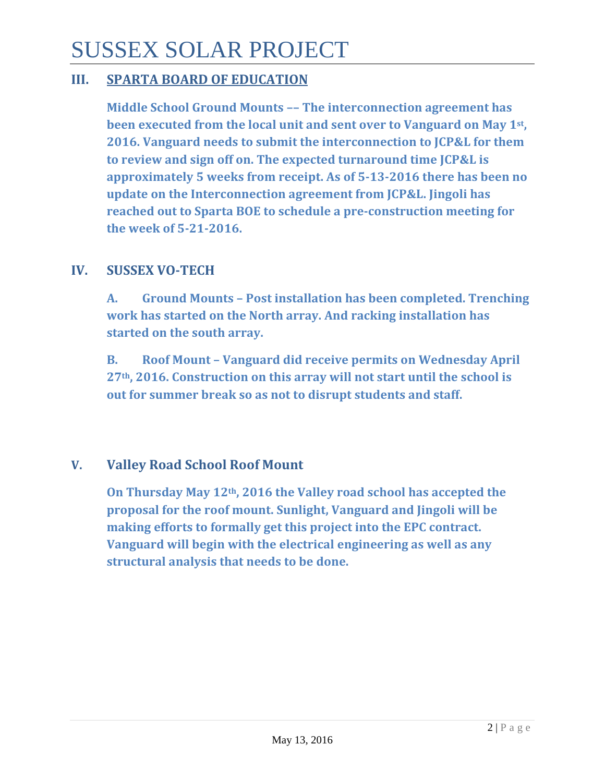## SUSSEX SOLAR PROJECT

#### **III. SPARTA BOARD OF EDUCATION**

**Middle School Ground Mounts –– The interconnection agreement has been executed from the local unit and sent over to Vanguard on May 1st, 2016. Vanguard needs to submit the interconnection to JCP&L for them to review and sign off on. The expected turnaround time JCP&L is approximately 5 weeks from receipt. As of 5-13-2016 there has been no update on the Interconnection agreement from JCP&L. Jingoli has reached out to Sparta BOE to schedule a pre-construction meeting for the week of 5-21-2016.**

#### **IV. SUSSEX VO-TECH**

**A. Ground Mounts – Post installation has been completed. Trenching work has started on the North array. And racking installation has started on the south array.** 

**B. Roof Mount – Vanguard did receive permits on Wednesday April 27th, 2016. Construction on this array will not start until the school is out for summer break so as not to disrupt students and staff.**

#### **V. Valley Road School Roof Mount**

**On Thursday May 12th, 2016 the Valley road school has accepted the proposal for the roof mount. Sunlight, Vanguard and Jingoli will be making efforts to formally get this project into the EPC contract. Vanguard will begin with the electrical engineering as well as any structural analysis that needs to be done.**